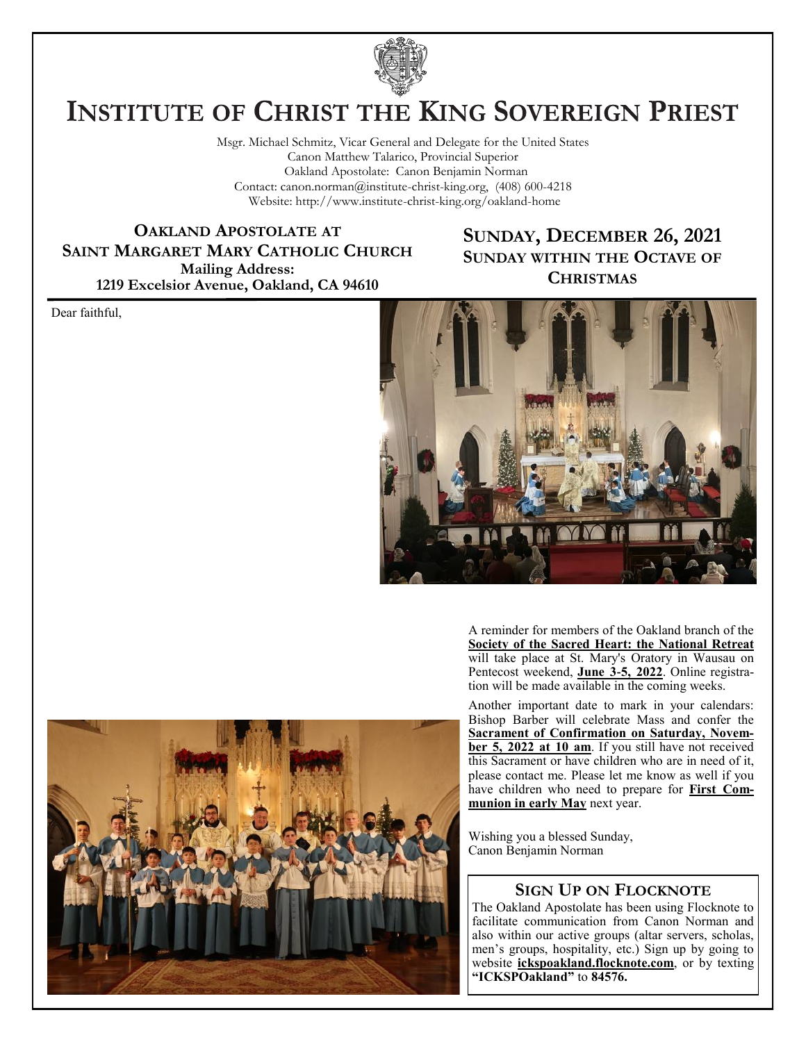

# **INSTITUTE OF CHRIST THE KING SOVEREIGN PRIEST**

Msgr. Michael Schmitz, Vicar General and Delegate for the United States Canon Matthew Talarico, Provincial Superior Oakland Apostolate: Canon Benjamin Norman Contact: canon.norman@institute-christ-king.org, (408) 600-4218 Website: http://www.institute-christ-king.org/oakland-home

**OAKLAND APOSTOLATE AT SAINT MARGARET MARY CATHOLIC CHURCH Mailing Address: 1219 Excelsior Avenue, Oakland, CA 94610**

### **SUNDAY, DECEMBER 26, 2021 SUNDAY WITHIN THE OCTAVE OF CHRISTMAS**

Dear faithful,



A reminder for members of the Oakland branch of the **Society of the Sacred Heart: the National Retreat** will take place at St. Mary's Oratory in Wausau on Pentecost weekend, **June 3-5, 2022**. Online registration will be made available in the coming weeks.

Another important date to mark in your calendars: Bishop Barber will celebrate Mass and confer the **Sacrament of Confirmation on Saturday, November 5, 2022 at 10 am**. If you still have not received this Sacrament or have children who are in need of it, please contact me. Please let me know as well if you have children who need to prepare for **First Communion in early May** next year.

Wishing you a blessed Sunday, Canon Benjamin Norman

#### **SIGN UP ON FLOCKNOTE**

The Oakland Apostolate has been using Flocknote to facilitate communication from Canon Norman and also within our active groups (altar servers, scholas, men's groups, hospitality, etc.) Sign up by going to website **ickspoakland.flocknote.com**, or by texting **"ICKSPOakland"** to **84576.**